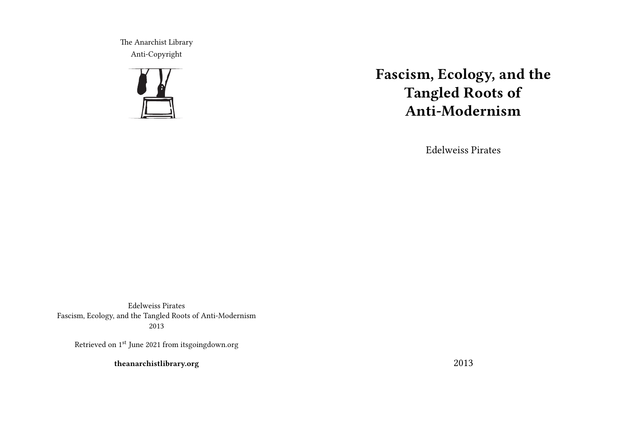The Anarchist Library Anti-Copyright



# **Fascism, Ecology, and the Tangled Roots of Anti-Modernism**

Edelweiss Pirates

Edelweiss Pirates Fascism, Ecology, and the Tangled Roots of Anti-Modernism 2013

Retrieved on 1<sup>st</sup> June 2021 from itsgoingdown.org

**theanarchistlibrary.org**

2013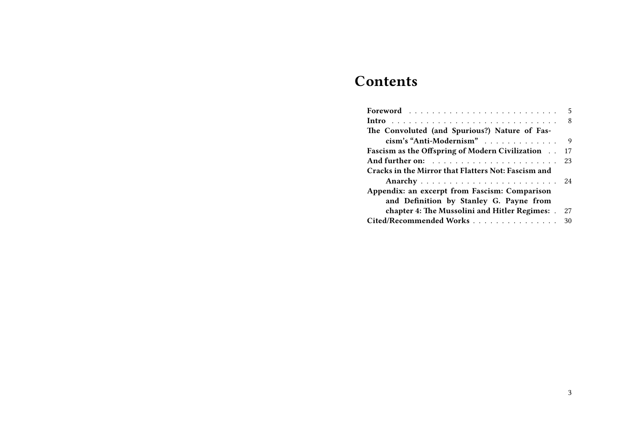# **Contents**

| The Convoluted (and Spurious?) Nature of Fas-       |  |
|-----------------------------------------------------|--|
| cism's "Anti-Modernism" 9                           |  |
| Fascism as the Offspring of Modern Civilization 17  |  |
|                                                     |  |
| Cracks in the Mirror that Flatters Not: Fascism and |  |
|                                                     |  |
| Appendix: an excerpt from Fascism: Comparison       |  |
| and Definition by Stanley G. Payne from             |  |
| chapter 4: The Mussolini and Hitler Regimes: . 27   |  |
| Cited/Recommended Works 30                          |  |
|                                                     |  |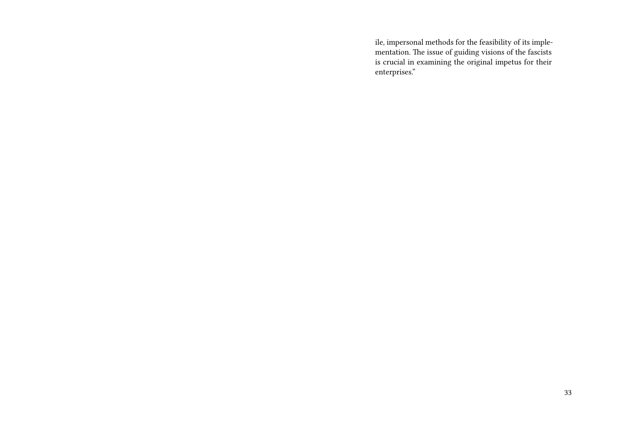ile, impersonal methods for the feasibility of its implementation. The issue of guiding visions of the fascists is crucial in examining the original impetus for their enterprises."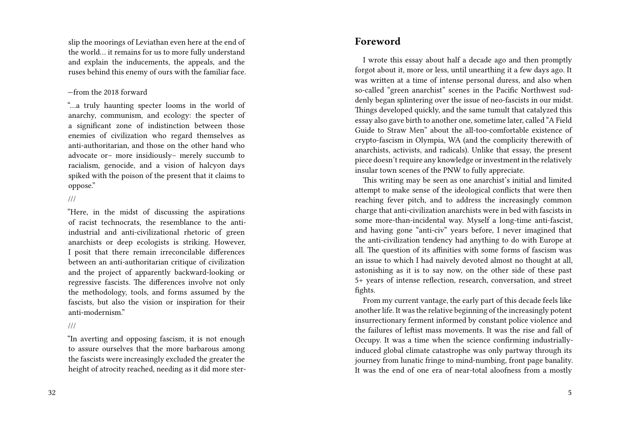slip the moorings of Leviathan even here at the end of the world… it remains for us to more fully understand and explain the inducements, the appeals, and the ruses behind this enemy of ours with the familiar face.

#### —from the 2018 forward

"…a truly haunting specter looms in the world of anarchy, communism, and ecology: the specter of a significant zone of indistinction between those enemies of civilization who regard themselves as anti-authoritarian, and those on the other hand who advocate or– more insidiously– merely succumb to racialism, genocide, and a vision of halcyon days spiked with the poison of the present that it claims to oppose."

///

"Here, in the midst of discussing the aspirations of racist technocrats, the resemblance to the antiindustrial and anti-civilizational rhetoric of green anarchists or deep ecologists is striking. However, I posit that there remain irreconcilable differences between an anti-authoritarian critique of civilization and the project of apparently backward-looking or regressive fascists. The differences involve not only the methodology, tools, and forms assumed by the fascists, but also the vision or inspiration for their anti-modernism."

#### ///

"In averting and opposing fascism, it is not enough to assure ourselves that the more barbarous among the fascists were increasingly excluded the greater the height of atrocity reached, needing as it did more ster-

#### **Foreword**

I wrote this essay about half a decade ago and then promptly forgot about it, more or less, until unearthing it a few days ago. It was written at a time of intense personal duress, and also when so-called "green anarchist" scenes in the Pacific Northwest suddenly began splintering over the issue of neo-fascists in our midst. Things developed quickly, and the same tumult that catalyzed this essay also gave birth to another one, sometime later, called "A Field Guide to Straw Men" about the all-too-comfortable existence of crypto-fascism in Olympia, WA (and the complicity therewith of anarchists, activists, and radicals). Unlike that essay, the present piece doesn't require any knowledge or investment in the relatively insular town scenes of the PNW to fully appreciate.

This writing may be seen as one anarchist's initial and limited attempt to make sense of the ideological conflicts that were then reaching fever pitch, and to address the increasingly common charge that anti-civilization anarchists were in bed with fascists in some more-than-incidental way. Myself a long-time anti-fascist, and having gone "anti-civ" years before, I never imagined that the anti-civilization tendency had anything to do with Europe at all. The question of its affinities with some forms of fascism was an issue to which I had naively devoted almost no thought at all, astonishing as it is to say now, on the other side of these past 5+ years of intense reflection, research, conversation, and street fights.

From my current vantage, the early part of this decade feels like another life. It was the relative beginning of the increasingly potent insurrectionary ferment informed by constant police violence and the failures of leftist mass movements. It was the rise and fall of Occupy. It was a time when the science confirming industriallyinduced global climate catastrophe was only partway through its journey from lunatic fringe to mind-numbing, front page banality. It was the end of one era of near-total aloofness from a mostly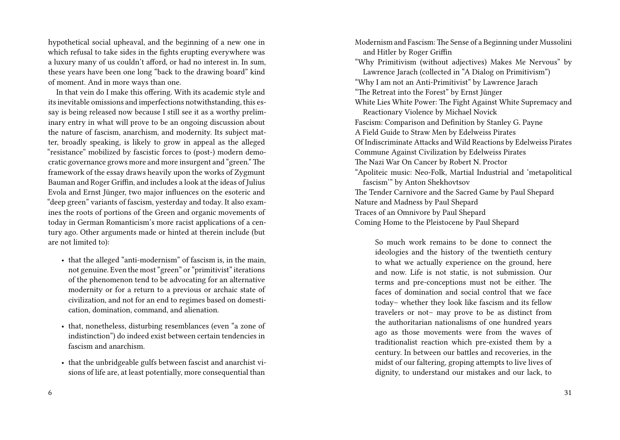hypothetical social upheaval, and the beginning of a new one in which refusal to take sides in the fights erupting everywhere was a luxury many of us couldn't afford, or had no interest in. In sum, these years have been one long "back to the drawing board" kind of moment. And in more ways than one.

In that vein do I make this offering. With its academic style and its inevitable omissions and imperfections notwithstanding, this essay is being released now because I still see it as a worthy preliminary entry in what will prove to be an ongoing discussion about the nature of fascism, anarchism, and modernity. Its subject matter, broadly speaking, is likely to grow in appeal as the alleged "resistance" mobilized by fascistic forces to (post-) modern democratic governance grows more and more insurgent and "green." The framework of the essay draws heavily upon the works of Zygmunt Bauman and Roger Griffin, and includes a look at the ideas of Julius Evola and Ernst Jünger, two major influences on the esoteric and "deep green" variants of fascism, yesterday and today. It also examines the roots of portions of the Green and organic movements of today in German Romanticism's more racist applications of a century ago. Other arguments made or hinted at therein include (but are not limited to):

- that the alleged "anti-modernism" of fascism is, in the main, not genuine. Even the most "green" or "primitivist" iterations of the phenomenon tend to be advocating for an alternative modernity or for a return to a previous or archaic state of civilization, and not for an end to regimes based on domestication, domination, command, and alienation.
- that, nonetheless, disturbing resemblances (even "a zone of indistinction") do indeed exist between certain tendencies in fascism and anarchism.
- that the unbridgeable gulfs between fascist and anarchist visions of life are, at least potentially, more consequential than

Modernism and Fascism: The Sense of a Beginning under Mussolini and Hitler by Roger Griffin "Why Primitivism (without adjectives) Makes Me Nervous" by Lawrence Jarach (collected in "A Dialog on Primitivism") "Why I am not an Anti-Primitivist" by Lawrence Jarach "The Retreat into the Forest" by Ernst Jünger White Lies White Power: The Fight Against White Supremacy and Reactionary Violence by Michael Novick Fascism: Comparison and Definition by Stanley G. Payne A Field Guide to Straw Men by Edelweiss Pirates Of Indiscriminate Attacks and Wild Reactions by Edelweiss Pirates Commune Against Civilization by Edelweiss Pirates The Nazi War On Cancer by Robert N. Proctor "Apoliteic music: Neo-Folk, Martial Industrial and 'metapolitical fascism'" by Anton Shekhovtsov The Tender Carnivore and the Sacred Game by Paul Shepard Nature and Madness by Paul Shepard Traces of an Omnivore by Paul Shepard Coming Home to the Pleistocene by Paul Shepard

So much work remains to be done to connect the ideologies and the history of the twentieth century to what we actually experience on the ground, here and now. Life is not static, is not submission. Our terms and pre-conceptions must not be either. The faces of domination and social control that we face today– whether they look like fascism and its fellow travelers or not– may prove to be as distinct from the authoritarian nationalisms of one hundred years ago as those movements were from the waves of traditionalist reaction which pre-existed them by a century. In between our battles and recoveries, in the midst of our faltering, groping attempts to live lives of dignity, to understand our mistakes and our lack, to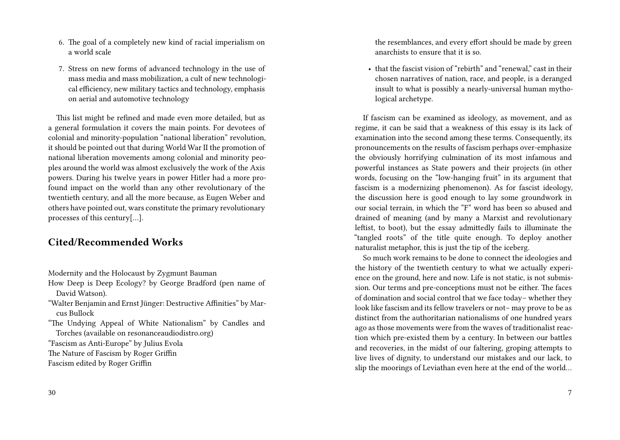- 6. The goal of a completely new kind of racial imperialism on a world scale
- 7. Stress on new forms of advanced technology in the use of mass media and mass mobilization, a cult of new technological efficiency, new military tactics and technology, emphasis on aerial and automotive technology

This list might be refined and made even more detailed, but as a general formulation it covers the main points. For devotees of colonial and minority-population "national liberation" revolution, it should be pointed out that during World War II the promotion of national liberation movements among colonial and minority peoples around the world was almost exclusively the work of the Axis powers. During his twelve years in power Hitler had a more profound impact on the world than any other revolutionary of the twentieth century, and all the more because, as Eugen Weber and others have pointed out, wars constitute the primary revolutionary processes of this century[…].

## **Cited/Recommended Works**

Modernity and the Holocaust by Zygmunt Bauman

- How Deep is Deep Ecology? by George Bradford (pen name of David Watson).
- "Walter Benjamin and Ernst Jünger: Destructive Affinities" by Marcus Bullock
- "The Undying Appeal of White Nationalism" by Candles and Torches (available on resonanceaudiodistro.org)

"Fascism as Anti-Europe" by Julius Evola

- The Nature of Fascism by Roger Griffin
- Fascism edited by Roger Griffin

the resemblances, and every effort should be made by green anarchists to ensure that it is so.

• that the fascist vision of "rebirth" and "renewal," cast in their chosen narratives of nation, race, and people, is a deranged insult to what is possibly a nearly-universal human mythological archetype.

If fascism can be examined as ideology, as movement, and as regime, it can be said that a weakness of this essay is its lack of examination into the second among these terms. Consequently, its pronouncements on the results of fascism perhaps over-emphasize the obviously horrifying culmination of its most infamous and powerful instances as State powers and their projects (in other words, focusing on the "low-hanging fruit" in its argument that fascism is a modernizing phenomenon). As for fascist ideology, the discussion here is good enough to lay some groundwork in our social terrain, in which the "F" word has been so abused and drained of meaning (and by many a Marxist and revolutionary leftist, to boot), but the essay admittedly fails to illuminate the "tangled roots" of the title quite enough. To deploy another naturalist metaphor, this is just the tip of the iceberg.

So much work remains to be done to connect the ideologies and the history of the twentieth century to what we actually experience on the ground, here and now. Life is not static, is not submission. Our terms and pre-conceptions must not be either. The faces of domination and social control that we face today– whether they look like fascism and its fellow travelers or not– may prove to be as distinct from the authoritarian nationalisms of one hundred years ago as those movements were from the waves of traditionalist reaction which pre-existed them by a century. In between our battles and recoveries, in the midst of our faltering, groping attempts to live lives of dignity, to understand our mistakes and our lack, to slip the moorings of Leviathan even here at the end of the world…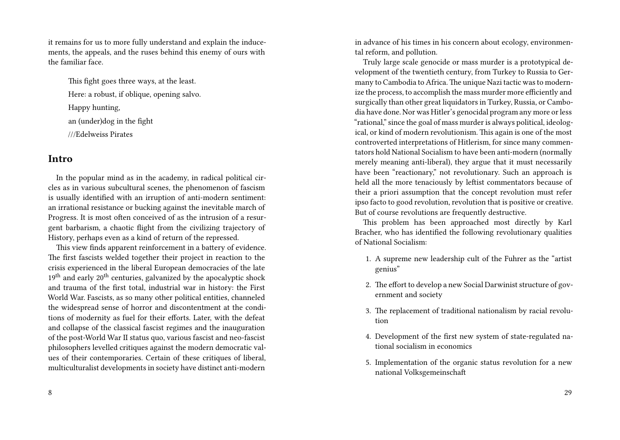it remains for us to more fully understand and explain the inducements, the appeals, and the ruses behind this enemy of ours with the familiar face.

This fight goes three ways, at the least. Here: a robust, if oblique, opening salvo. Happy hunting, an (under)dog in the fight ///Edelweiss Pirates

### **Intro**

In the popular mind as in the academy, in radical political circles as in various subcultural scenes, the phenomenon of fascism is usually identified with an irruption of anti-modern sentiment: an irrational resistance or bucking against the inevitable march of Progress. It is most often conceived of as the intrusion of a resurgent barbarism, a chaotic flight from the civilizing trajectory of History, perhaps even as a kind of return of the repressed.

This view finds apparent reinforcement in a battery of evidence. The first fascists welded together their project in reaction to the crisis experienced in the liberal European democracies of the late  $19<sup>th</sup>$  and early  $20<sup>th</sup>$  centuries, galvanized by the apocalyptic shock and trauma of the first total, industrial war in history: the First World War. Fascists, as so many other political entities, channeled the widespread sense of horror and discontentment at the conditions of modernity as fuel for their efforts. Later, with the defeat and collapse of the classical fascist regimes and the inauguration of the post-World War II status quo, various fascist and neo-fascist philosophers levelled critiques against the modern democratic values of their contemporaries. Certain of these critiques of liberal, multiculturalist developments in society have distinct anti-modern

8

in advance of his times in his concern about ecology, environmental reform, and pollution.

Truly large scale genocide or mass murder is a prototypical development of the twentieth century, from Turkey to Russia to Germany to Cambodia to Africa.The unique Nazi tactic was to modernize the process, to accomplish the mass murder more efficiently and surgically than other great liquidators in Turkey, Russia, or Cambodia have done. Nor was Hitler's genocidal program any more or less "rational," since the goal of mass murder is always political, ideological, or kind of modern revolutionism. This again is one of the most controverted interpretations of Hitlerism, for since many commentators hold National Socialism to have been anti-modern (normally merely meaning anti-liberal), they argue that it must necessarily have been "reactionary," not revolutionary. Such an approach is held all the more tenaciously by leftist commentators because of their a priori assumption that the concept revolution must refer ipso facto to good revolution, revolution that is positive or creative. But of course revolutions are frequently destructive.

This problem has been approached most directly by Karl Bracher, who has identified the following revolutionary qualities of National Socialism:

- 1. A supreme new leadership cult of the Fuhrer as the "artist genius"
- 2. The effort to develop a new Social Darwinist structure of government and society
- 3. The replacement of traditional nationalism by racial revolution
- 4. Development of the first new system of state-regulated national socialism in economics
- 5. Implementation of the organic status revolution for a new national Volksgemeinschaft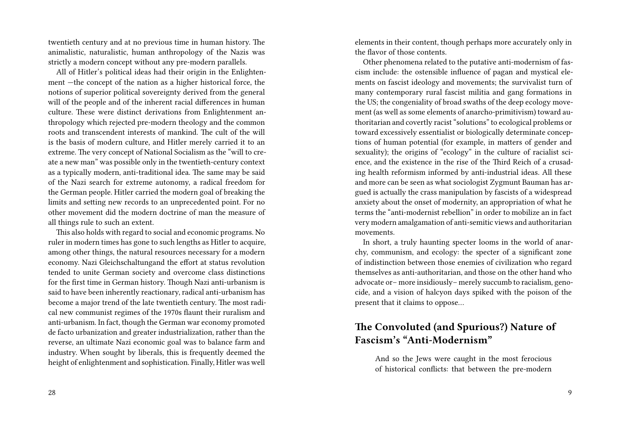twentieth century and at no previous time in human history. The animalistic, naturalistic, human anthropology of the Nazis was strictly a modern concept without any pre-modern parallels.

All of Hitler's political ideas had their origin in the Enlightenment —the concept of the nation as a higher historical force, the notions of superior political sovereignty derived from the general will of the people and of the inherent racial differences in human culture. These were distinct derivations from Enlightenment anthropology which rejected pre-modern theology and the common roots and transcendent interests of mankind. The cult of the will is the basis of modern culture, and Hitler merely carried it to an extreme. The very concept of National Socialism as the "will to create a new man" was possible only in the twentieth-century context as a typically modern, anti-traditional idea. The same may be said of the Nazi search for extreme autonomy, a radical freedom for the German people. Hitler carried the modern goal of breaking the limits and setting new records to an unprecedented point. For no other movement did the modern doctrine of man the measure of all things rule to such an extent.

This also holds with regard to social and economic programs. No ruler in modern times has gone to such lengths as Hitler to acquire, among other things, the natural resources necessary for a modern economy. Nazi Gleichschaltungand the effort at status revolution tended to unite German society and overcome class distinctions for the first time in German history. Though Nazi anti-urbanism is said to have been inherently reactionary, radical anti-urbanism has become a major trend of the late twentieth century. The most radical new communist regimes of the 1970s flaunt their ruralism and anti-urbanism. In fact, though the German war economy promoted de facto urbanization and greater industrialization, rather than the reverse, an ultimate Nazi economic goal was to balance farm and industry. When sought by liberals, this is frequently deemed the height of enlightenment and sophistication. Finally, Hitler was well

28

elements in their content, though perhaps more accurately only in the flavor of those contents.

Other phenomena related to the putative anti-modernism of fascism include: the ostensible influence of pagan and mystical elements on fascist ideology and movements; the survivalist turn of many contemporary rural fascist militia and gang formations in the US; the congeniality of broad swaths of the deep ecology movement (as well as some elements of anarcho-primitivism) toward authoritarian and covertly racist "solutions" to ecological problems or toward excessively essentialist or biologically determinate conceptions of human potential (for example, in matters of gender and sexuality); the origins of "ecology" in the culture of racialist science, and the existence in the rise of the Third Reich of a crusading health reformism informed by anti-industrial ideas. All these and more can be seen as what sociologist Zygmunt Bauman has argued is actually the crass manipulation by fascists of a widespread anxiety about the onset of modernity, an appropriation of what he terms the "anti-modernist rebellion" in order to mobilize an in fact very modern amalgamation of anti-semitic views and authoritarian movements.

In short, a truly haunting specter looms in the world of anarchy, communism, and ecology: the specter of a significant zone of indistinction between those enemies of civilization who regard themselves as anti-authoritarian, and those on the other hand who advocate or– more insidiously– merely succumb to racialism, genocide, and a vision of halcyon days spiked with the poison of the present that it claims to oppose…

# **The Convoluted (and Spurious?) Nature of Fascism's "Anti-Modernism"**

And so the Jews were caught in the most ferocious of historical conflicts: that between the pre-modern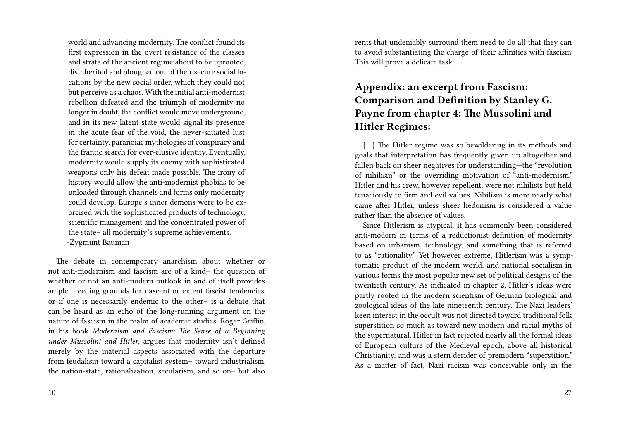world and advancing modernity. The conflict found its first expression in the overt resistance of the classes and strata of the ancient regime about to be uprooted, disinherited and ploughed out of their secure social locations by the new social order, which they could not but perceive as a chaos. With the initial anti-modernist rebellion defeated and the triumph of modernity no longer in doubt, the conflict would move underground, and in its new latent state would signal its presence in the acute fear of the void, the never-satiated lust for certainty, paranoiac mythologies of conspiracy and the frantic search for ever-elusive identity. Eventually, modernity would supply its enemy with sophisticated weapons only his defeat made possible. The irony of history would allow the anti-modernist phobias to be unloaded through channels and forms only modernity could develop. Europe's inner demons were to be exorcised with the sophisticated products of technology, scientific management and the concentrated power of the state– all modernity's supreme achievements. -Zygmunt Bauman

The debate in contemporary anarchism about whether or not anti-modernism and fascism are of a kind– the question of whether or not an anti-modern outlook in and of itself provides ample breeding grounds for nascent or extent fascist tendencies, or if one is necessarily endemic to the other– is a debate that can be heard as an echo of the long-running argument on the nature of fascism in the realm of academic studies. Roger Griffin, in his book *Modernism and Fascism: The Sense of a Beginning under Mussolini and Hitler*, argues that modernity isn't defined merely by the material aspects associated with the departure from feudalism toward a capitalist system– toward industrialism, the nation-state, rationalization, secularism, and so on– but also

rents that undeniably surround them need to do all that they can to avoid substantiating the charge of their affinities with fascism. This will prove a delicate task.

# **Appendix: an excerpt from Fascism: Comparison and Definition by Stanley G. Payne from chapter 4: The Mussolini and Hitler Regimes:**

[...] The Hitler regime was so bewildering in its methods and goals that interpretation has frequently given up altogether and fallen back on sheer negatives for understanding—the "revolution of nihilism" or the overriding motivation of "anti-modernism." Hitler and his crew, however repellent, were not nihilists but held tenaciously to firm and evil values. Nihilism is more nearly what came after Hitler, unless sheer hedonism is considered a value rather than the absence of values.

Since Hitlerism is atypical, it has commonly been considered anti-modern in terms of a reductionist definition of modernity based on urbanism, technology, and something that is referred to as "rationality." Yet however extreme, Hitlerism was a symptomatic product of the modern world, and national socialism in various forms the most popular new set of political designs of the twentieth century. As indicated in chapter 2, Hitler's ideas were partly rooted in the modern scientism of German biological and zoological ideas of the late nineteenth century. The Nazi leaders' keen interest in the occult was not directed toward traditional folk superstition so much as toward new modern and racial myths of the supernatural. Hitler in fact rejected nearly all the formal ideas of European culture of the Medieval epoch, above all historical Christianity, and was a stern derider of premodern "superstition." As a matter of fact, Nazi racism was conceivable only in the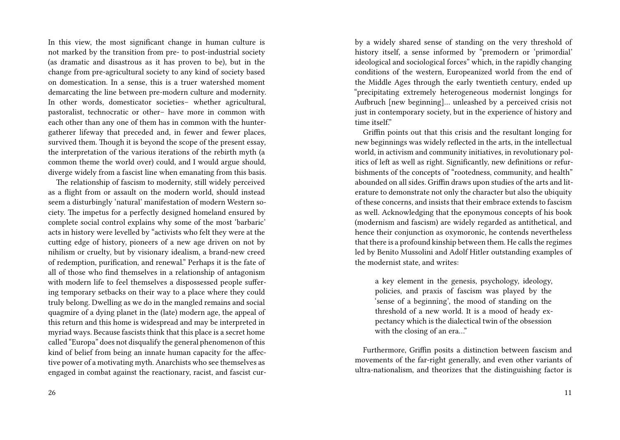In this view, the most significant change in human culture is not marked by the transition from pre- to post-industrial society (as dramatic and disastrous as it has proven to be), but in the change from pre-agricultural society to any kind of society based on domestication. In a sense, this is a truer watershed moment demarcating the line between pre-modern culture and modernity. In other words, domesticator societies– whether agricultural, pastoralist, technocratic or other– have more in common with each other than any one of them has in common with the huntergatherer lifeway that preceded and, in fewer and fewer places, survived them. Though it is beyond the scope of the present essay, the interpretation of the various iterations of the rebirth myth (a common theme the world over) could, and I would argue should, diverge widely from a fascist line when emanating from this basis.

The relationship of fascism to modernity, still widely perceived as a flight from or assault on the modern world, should instead seem a disturbingly 'natural' manifestation of modern Western society. The impetus for a perfectly designed homeland ensured by complete social control explains why some of the most 'barbaric' acts in history were levelled by "activists who felt they were at the cutting edge of history, pioneers of a new age driven on not by nihilism or cruelty, but by visionary idealism, a brand-new creed of redemption, purification, and renewal." Perhaps it is the fate of all of those who find themselves in a relationship of antagonism with modern life to feel themselves a dispossessed people suffering temporary setbacks on their way to a place where they could truly belong. Dwelling as we do in the mangled remains and social quagmire of a dying planet in the (late) modern age, the appeal of this return and this home is widespread and may be interpreted in myriad ways. Because fascists think that this place is a secret home called "Europa" does not disqualify the general phenomenon of this kind of belief from being an innate human capacity for the affective power of a motivating myth. Anarchists who see themselves as engaged in combat against the reactionary, racist, and fascist cur-

by a widely shared sense of standing on the very threshold of history itself, a sense informed by "premodern or 'primordial' ideological and sociological forces" which, in the rapidly changing conditions of the western, Europeanized world from the end of the Middle Ages through the early twentieth century, ended up "precipitating extremely heterogeneous modernist longings for Aufbruch [new beginning]… unleashed by a perceived crisis not just in contemporary society, but in the experience of history and time itself." Griffin points out that this crisis and the resultant longing for

new beginnings was widely reflected in the arts, in the intellectual world, in activism and community initiatives, in revolutionary politics of left as well as right. Significantly, new definitions or refurbishments of the concepts of "rootedness, community, and health" abounded on all sides. Griffin draws upon studies of the arts and literature to demonstrate not only the character but also the ubiquity of these concerns, and insists that their embrace extends to fascism as well. Acknowledging that the eponymous concepts of his book (modernism and fascism) are widely regarded as antithetical, and hence their conjunction as oxymoronic, he contends nevertheless that there is a profound kinship between them. He calls the regimes led by Benito Mussolini and Adolf Hitler outstanding examples of the modernist state, and writes:

a key element in the genesis, psychology, ideology, policies, and praxis of fascism was played by the 'sense of a beginning', the mood of standing on the threshold of a new world. It is a mood of heady expectancy which is the dialectical twin of the obsession with the closing of an era…"

Furthermore, Griffin posits a distinction between fascism and movements of the far-right generally, and even other variants of ultra-nationalism, and theorizes that the distinguishing factor is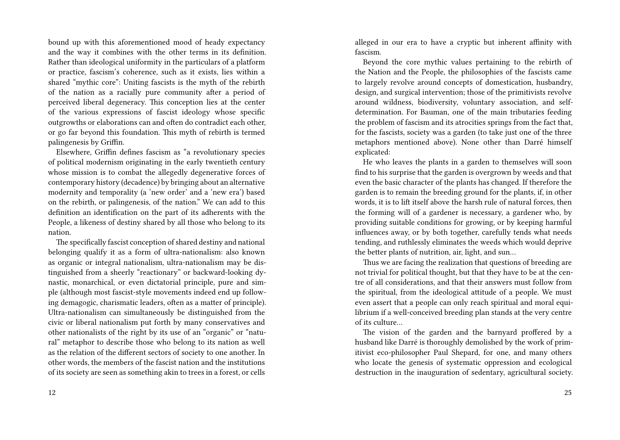bound up with this aforementioned mood of heady expectancy and the way it combines with the other terms in its definition. Rather than ideological uniformity in the particulars of a platform or practice, fascism's coherence, such as it exists, lies within a shared "mythic core": Uniting fascists is the myth of the rebirth of the nation as a racially pure community after a period of perceived liberal degeneracy. This conception lies at the center of the various expressions of fascist ideology whose specific outgrowths or elaborations can and often do contradict each other, or go far beyond this foundation. This myth of rebirth is termed palingenesis by Griffin.

Elsewhere, Griffin defines fascism as "a revolutionary species of political modernism originating in the early twentieth century whose mission is to combat the allegedly degenerative forces of contemporary history (decadence) by bringing about an alternative modernity and temporality (a 'new order' and a 'new era') based on the rebirth, or palingenesis, of the nation." We can add to this definition an identification on the part of its adherents with the People, a likeness of destiny shared by all those who belong to its nation.

The specifically fascist conception of shared destiny and national belonging qualify it as a form of ultra-nationalism: also known as organic or integral nationalism, ultra-nationalism may be distinguished from a sheerly "reactionary" or backward-looking dynastic, monarchical, or even dictatorial principle, pure and simple (although most fascist-style movements indeed end up following demagogic, charismatic leaders, often as a matter of principle). Ultra-nationalism can simultaneously be distinguished from the civic or liberal nationalism put forth by many conservatives and other nationalists of the right by its use of an "organic" or "natural" metaphor to describe those who belong to its nation as well as the relation of the different sectors of society to one another. In other words, the members of the fascist nation and the institutions of its society are seen as something akin to trees in a forest, or cells alleged in our era to have a cryptic but inherent affinity with fascism.

Beyond the core mythic values pertaining to the rebirth of the Nation and the People, the philosophies of the fascists came to largely revolve around concepts of domestication, husbandry, design, and surgical intervention; those of the primitivists revolve around wildness, biodiversity, voluntary association, and selfdetermination. For Bauman, one of the main tributaries feeding the problem of fascism and its atrocities springs from the fact that, for the fascists, society was a garden (to take just one of the three metaphors mentioned above). None other than Darré himself explicated:

He who leaves the plants in a garden to themselves will soon find to his surprise that the garden is overgrown by weeds and that even the basic character of the plants has changed. If therefore the garden is to remain the breeding ground for the plants, if, in other words, it is to lift itself above the harsh rule of natural forces, then the forming will of a gardener is necessary, a gardener who, by providing suitable conditions for growing, or by keeping harmful influences away, or by both together, carefully tends what needs tending, and ruthlessly eliminates the weeds which would deprive the better plants of nutrition, air, light, and sun…

Thus we are facing the realization that questions of breeding are not trivial for political thought, but that they have to be at the centre of all considerations, and that their answers must follow from the spiritual, from the ideological attitude of a people. We must even assert that a people can only reach spiritual and moral equilibrium if a well-conceived breeding plan stands at the very centre of its culture…

The vision of the garden and the barnyard proffered by a husband like Darré is thoroughly demolished by the work of primitivist eco-philosopher Paul Shepard, for one, and many others who locate the genesis of systematic oppression and ecological destruction in the inauguration of sedentary, agricultural society.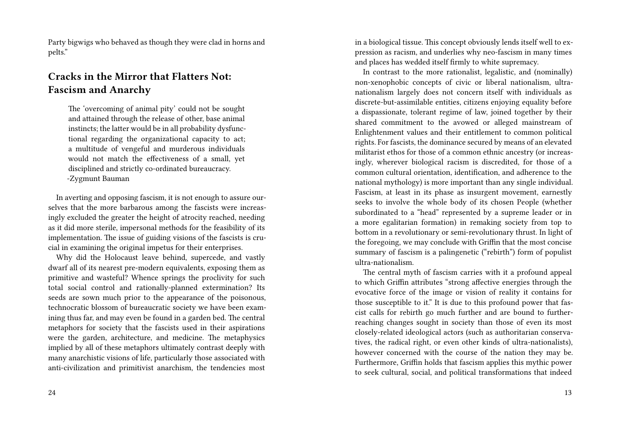Party bigwigs who behaved as though they were clad in horns and pelts."

# **Cracks in the Mirror that Flatters Not: Fascism and Anarchy**

The 'overcoming of animal pity' could not be sought and attained through the release of other, base animal instincts; the latter would be in all probability dysfunctional regarding the organizational capacity to act; a multitude of vengeful and murderous individuals would not match the effectiveness of a small, yet disciplined and strictly co-ordinated bureaucracy. -Zygmunt Bauman

In averting and opposing fascism, it is not enough to assure ourselves that the more barbarous among the fascists were increasingly excluded the greater the height of atrocity reached, needing as it did more sterile, impersonal methods for the feasibility of its implementation. The issue of guiding visions of the fascists is crucial in examining the original impetus for their enterprises.

Why did the Holocaust leave behind, supercede, and vastly dwarf all of its nearest pre-modern equivalents, exposing them as primitive and wasteful? Whence springs the proclivity for such total social control and rationally-planned extermination? Its seeds are sown much prior to the appearance of the poisonous, technocratic blossom of bureaucratic society we have been examining thus far, and may even be found in a garden bed. The central metaphors for society that the fascists used in their aspirations were the garden, architecture, and medicine. The metaphysics implied by all of these metaphors ultimately contrast deeply with many anarchistic visions of life, particularly those associated with anti-civilization and primitivist anarchism, the tendencies most

in a biological tissue. This concept obviously lends itself well to expression as racism, and underlies why neo-fascism in many times and places has wedded itself firmly to white supremacy.

In contrast to the more rationalist, legalistic, and (nominally) non-xenophobic concepts of civic or liberal nationalism, ultranationalism largely does not concern itself with individuals as discrete-but-assimilable entities, citizens enjoying equality before a dispassionate, tolerant regime of law, joined together by their shared commitment to the avowed or alleged mainstream of Enlightenment values and their entitlement to common political rights. For fascists, the dominance secured by means of an elevated militarist ethos for those of a common ethnic ancestry (or increasingly, wherever biological racism is discredited, for those of a common cultural orientation, identification, and adherence to the national mythology) is more important than any single individual. Fascism, at least in its phase as insurgent movement, earnestly seeks to involve the whole body of its chosen People (whether subordinated to a "head" represented by a supreme leader or in a more egalitarian formation) in remaking society from top to bottom in a revolutionary or semi-revolutionary thrust. In light of the foregoing, we may conclude with Griffin that the most concise summary of fascism is a palingenetic ("rebirth") form of populist ultra-nationalism.

The central myth of fascism carries with it a profound appeal to which Griffin attributes "strong affective energies through the evocative force of the image or vision of reality it contains for those susceptible to it." It is due to this profound power that fascist calls for rebirth go much further and are bound to furtherreaching changes sought in society than those of even its most closely-related ideological actors (such as authoritarian conservatives, the radical right, or even other kinds of ultra-nationalists), however concerned with the course of the nation they may be. Furthermore, Griffin holds that fascism applies this mythic power to seek cultural, social, and political transformations that indeed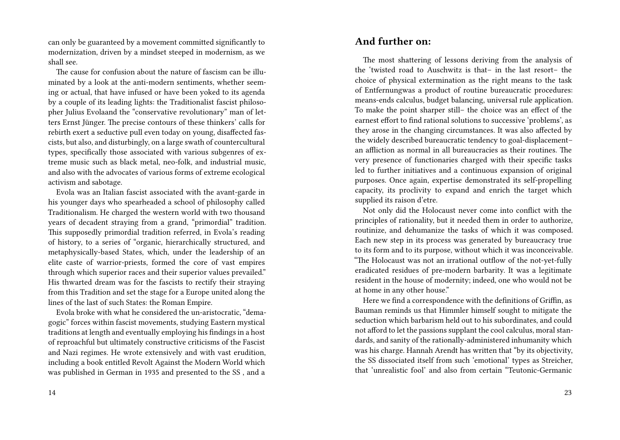can only be guaranteed by a movement committed significantly to modernization, driven by a mindset steeped in modernism, as we shall see.

The cause for confusion about the nature of fascism can be illuminated by a look at the anti-modern sentiments, whether seeming or actual, that have infused or have been yoked to its agenda by a couple of its leading lights: the Traditionalist fascist philosopher Julius Evolaand the "conservative revolutionary" man of letters Ernst Jünger. The precise contours of these thinkers' calls for rebirth exert a seductive pull even today on young, disaffected fascists, but also, and disturbingly, on a large swath of countercultural types, specifically those associated with various subgenres of extreme music such as black metal, neo-folk, and industrial music, and also with the advocates of various forms of extreme ecological activism and sabotage.

Evola was an Italian fascist associated with the avant-garde in his younger days who spearheaded a school of philosophy called Traditionalism. He charged the western world with two thousand years of decadent straying from a grand, "primordial" tradition. This supposedly primordial tradition referred, in Evola's reading of history, to a series of "organic, hierarchically structured, and metaphysically-based States, which, under the leadership of an elite caste of warrior-priests, formed the core of vast empires through which superior races and their superior values prevailed." His thwarted dream was for the fascists to rectify their straying from this Tradition and set the stage for a Europe united along the lines of the last of such States: the Roman Empire.

Evola broke with what he considered the un-aristocratic, "demagogic" forces within fascist movements, studying Eastern mystical traditions at length and eventually employing his findings in a host of reproachful but ultimately constructive criticisms of the Fascist and Nazi regimes. He wrote extensively and with vast erudition, including a book entitled Revolt Against the Modern World which was published in German in 1935 and presented to the SS , and a

### **And further on:**

The most shattering of lessons deriving from the analysis of the 'twisted road to Auschwitz is that– in the last resort– the choice of physical extermination as the right means to the task of Entfernungwas a product of routine bureaucratic procedures: means-ends calculus, budget balancing, universal rule application. To make the point sharper still– the choice was an effect of the earnest effort to find rational solutions to successive 'problems', as they arose in the changing circumstances. It was also affected by the widely described bureaucratic tendency to goal-displacement– an affliction as normal in all bureaucracies as their routines. The very presence of functionaries charged with their specific tasks led to further initiatives and a continuous expansion of original purposes. Once again, expertise demonstrated its self-propelling capacity, its proclivity to expand and enrich the target which supplied its raison d'etre.

Not only did the Holocaust never come into conflict with the principles of rationality, but it needed them in order to authorize, routinize, and dehumanize the tasks of which it was composed. Each new step in its process was generated by bureaucracy true to its form and to its purpose, without which it was inconceivable. "The Holocaust was not an irrational outflow of the not-yet-fully eradicated residues of pre-modern barbarity. It was a legitimate resident in the house of modernity; indeed, one who would not be at home in any other house."

Here we find a correspondence with the definitions of Griffin, as Bauman reminds us that Himmler himself sought to mitigate the seduction which barbarism held out to his subordinates, and could not afford to let the passions supplant the cool calculus, moral standards, and sanity of the rationally-administered inhumanity which was his charge. Hannah Arendt has written that "by its objectivity, the SS dissociated itself from such 'emotional' types as Streicher, that 'unrealistic fool' and also from certain "Teutonic-Germanic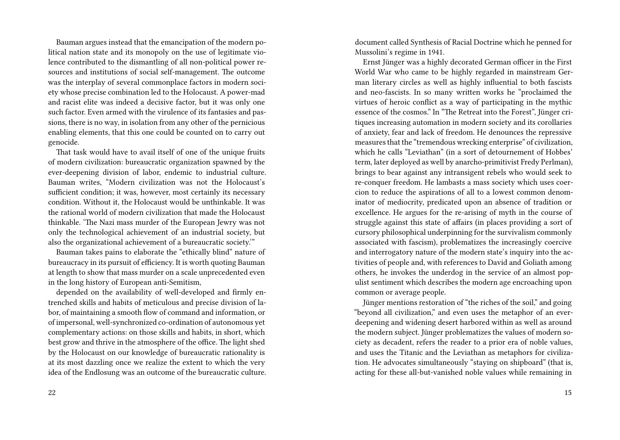Bauman argues instead that the emancipation of the modern political nation state and its monopoly on the use of legitimate violence contributed to the dismantling of all non-political power resources and institutions of social self-management. The outcome was the interplay of several commonplace factors in modern society whose precise combination led to the Holocaust. A power-mad and racist elite was indeed a decisive factor, but it was only one such factor. Even armed with the virulence of its fantasies and passions, there is no way, in isolation from any other of the pernicious enabling elements, that this one could be counted on to carry out genocide.

That task would have to avail itself of one of the unique fruits of modern civilization: bureaucratic organization spawned by the ever-deepening division of labor, endemic to industrial culture. Bauman writes, "Modern civilization was not the Holocaust's sufficient condition; it was, however, most certainly its necessary condition. Without it, the Holocaust would be unthinkable. It was the rational world of modern civilization that made the Holocaust thinkable. 'The Nazi mass murder of the European Jewry was not only the technological achievement of an industrial society, but also the organizational achievement of a bureaucratic society.'"

Bauman takes pains to elaborate the "ethically blind" nature of bureaucracy in its pursuit of efficiency. It is worth quoting Bauman at length to show that mass murder on a scale unprecedented even in the long history of European anti-Semitism,

depended on the availability of well-developed and firmly entrenched skills and habits of meticulous and precise division of labor, of maintaining a smooth flow of command and information, or of impersonal, well-synchronized co-ordination of autonomous yet complementary actions: on those skills and habits, in short, which best grow and thrive in the atmosphere of the office. The light shed by the Holocaust on our knowledge of bureaucratic rationality is at its most dazzling once we realize the extent to which the very idea of the Endlosung was an outcome of the bureaucratic culture.

document called Synthesis of Racial Doctrine which he penned for Mussolini's regime in 1941.

Ernst Jünger was a highly decorated German officer in the First World War who came to be highly regarded in mainstream German literary circles as well as highly influential to both fascists and neo-fascists. In so many written works he "proclaimed the virtues of heroic conflict as a way of participating in the mythic essence of the cosmos." In "The Retreat into the Forest", Jünger critiques increasing automation in modern society and its corollaries of anxiety, fear and lack of freedom. He denounces the repressive measures that the "tremendous wrecking enterprise" of civilization, which he calls "Leviathan" (in a sort of detournement of Hobbes' term, later deployed as well by anarcho-primitivist Fredy Perlman), brings to bear against any intransigent rebels who would seek to re-conquer freedom. He lambasts a mass society which uses coercion to reduce the aspirations of all to a lowest common denominator of mediocrity, predicated upon an absence of tradition or excellence. He argues for the re-arising of myth in the course of struggle against this state of affairs (in places providing a sort of cursory philosophical underpinning for the survivalism commonly associated with fascism), problematizes the increasingly coercive and interrogatory nature of the modern state's inquiry into the activities of people and, with references to David and Goliath among others, he invokes the underdog in the service of an almost populist sentiment which describes the modern age encroaching upon common or average people.

Jünger mentions restoration of "the riches of the soil," and going "beyond all civilization," and even uses the metaphor of an everdeepening and widening desert harbored within as well as around the modern subject. Jünger problematizes the values of modern society as decadent, refers the reader to a prior era of noble values, and uses the Titanic and the Leviathan as metaphors for civilization. He advocates simultaneously "staying on shipboard" (that is, acting for these all-but-vanished noble values while remaining in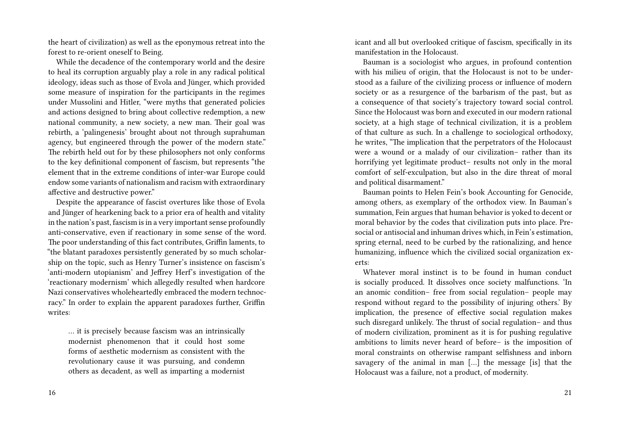the heart of civilization) as well as the eponymous retreat into the forest to re-orient oneself to Being.

While the decadence of the contemporary world and the desire to heal its corruption arguably play a role in any radical political ideology, ideas such as those of Evola and Jünger, which provided some measure of inspiration for the participants in the regimes under Mussolini and Hitler, "were myths that generated policies and actions designed to bring about collective redemption, a new national community, a new society, a new man. Their goal was rebirth, a 'palingenesis' brought about not through suprahuman agency, but engineered through the power of the modern state." The rebirth held out for by these philosophers not only conforms to the key definitional component of fascism, but represents "the element that in the extreme conditions of inter-war Europe could endow some variants of nationalism and racism with extraordinary affective and destructive power."

Despite the appearance of fascist overtures like those of Evola and Jünger of hearkening back to a prior era of health and vitality in the nation's past, fascism is in a very important sense profoundly anti-conservative, even if reactionary in some sense of the word. The poor understanding of this fact contributes, Griffin laments, to "the blatant paradoxes persistently generated by so much scholarship on the topic, such as Henry Turner's insistence on fascism's 'anti-modern utopianism' and Jeffrey Herf's investigation of the 'reactionary modernism' which allegedly resulted when hardcore Nazi conservatives wholeheartedly embraced the modern technocracy." In order to explain the apparent paradoxes further, Griffin writes:

… it is precisely because fascism was an intrinsically modernist phenomenon that it could host some forms of aesthetic modernism as consistent with the revolutionary cause it was pursuing, and condemn others as decadent, as well as imparting a modernist icant and all but overlooked critique of fascism, specifically in its manifestation in the Holocaust.

Bauman is a sociologist who argues, in profound contention with his milieu of origin, that the Holocaust is not to be understood as a failure of the civilizing process or influence of modern society or as a resurgence of the barbarism of the past, but as a consequence of that society's trajectory toward social control. Since the Holocaust was born and executed in our modern rational society, at a high stage of technical civilization, it is a problem of that culture as such. In a challenge to sociological orthodoxy, he writes, "The implication that the perpetrators of the Holocaust were a wound or a malady of our civilization– rather than its horrifying yet legitimate product– results not only in the moral comfort of self-exculpation, but also in the dire threat of moral and political disarmament."

Bauman points to Helen Fein's book Accounting for Genocide, among others, as exemplary of the orthodox view. In Bauman's summation, Fein argues that human behavior is yoked to decent or moral behavior by the codes that civilization puts into place. Presocial or antisocial and inhuman drives which, in Fein's estimation, spring eternal, need to be curbed by the rationalizing, and hence humanizing, influence which the civilized social organization exerts:

Whatever moral instinct is to be found in human conduct is socially produced. It dissolves once society malfunctions. 'In an anomic condition– free from social regulation– people may respond without regard to the possibility of injuring others.' By implication, the presence of effective social regulation makes such disregard unlikely. The thrust of social regulation– and thus of modern civilization, prominent as it is for pushing regulative ambitions to limits never heard of before– is the imposition of moral constraints on otherwise rampant selfishness and inborn savagery of the animal in man […] the message [is] that the Holocaust was a failure, not a product, of modernity.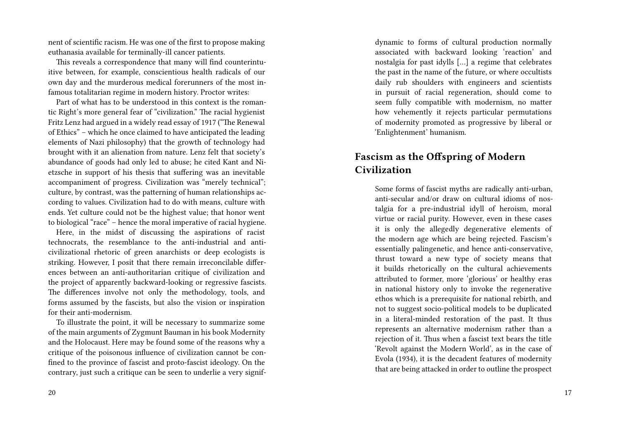nent of scientific racism. He was one of the first to propose making euthanasia available for terminally-ill cancer patients.

This reveals a correspondence that many will find counterintuitive between, for example, conscientious health radicals of our own day and the murderous medical forerunners of the most infamous totalitarian regime in modern history. Proctor writes:

Part of what has to be understood in this context is the romantic Right's more general fear of "civilization." The racial hygienist Fritz Lenz had argued in a widely read essay of 1917 ("The Renewal of Ethics" – which he once claimed to have anticipated the leading elements of Nazi philosophy) that the growth of technology had brought with it an alienation from nature. Lenz felt that society's abundance of goods had only led to abuse; he cited Kant and Nietzsche in support of his thesis that suffering was an inevitable accompaniment of progress. Civilization was "merely technical"; culture, by contrast, was the patterning of human relationships according to values. Civilization had to do with means, culture with ends. Yet culture could not be the highest value; that honor went to biological "race" – hence the moral imperative of racial hygiene.

Here, in the midst of discussing the aspirations of racist technocrats, the resemblance to the anti-industrial and anticivilizational rhetoric of green anarchists or deep ecologists is striking. However, I posit that there remain irreconcilable differences between an anti-authoritarian critique of civilization and the project of apparently backward-looking or regressive fascists. The differences involve not only the methodology, tools, and forms assumed by the fascists, but also the vision or inspiration for their anti-modernism.

To illustrate the point, it will be necessary to summarize some of the main arguments of Zygmunt Bauman in his book Modernity and the Holocaust. Here may be found some of the reasons why a critique of the poisonous influence of civilization cannot be confined to the province of fascist and proto-fascist ideology. On the contrary, just such a critique can be seen to underlie a very signifdynamic to forms of cultural production normally associated with backward looking 'reaction' and nostalgia for past idylls […] a regime that celebrates the past in the name of the future, or where occultists daily rub shoulders with engineers and scientists in pursuit of racial regeneration, should come to seem fully compatible with modernism, no matter how vehemently it rejects particular permutations of modernity promoted as progressive by liberal or 'Enlightenment' humanism.

# **Fascism as the Offspring of Modern Civilization**

Some forms of fascist myths are radically anti-urban, anti-secular and/or draw on cultural idioms of nostalgia for a pre-industrial idyll of heroism, moral virtue or racial purity. However, even in these cases it is only the allegedly degenerative elements of the modern age which are being rejected. Fascism's essentially palingenetic, and hence anti-conservative, thrust toward a new type of society means that it builds rhetorically on the cultural achievements attributed to former, more 'glorious' or healthy eras in national history only to invoke the regenerative ethos which is a prerequisite for national rebirth, and not to suggest socio-political models to be duplicated in a literal-minded restoration of the past. It thus represents an alternative modernism rather than a rejection of it. Thus when a fascist text bears the title 'Revolt against the Modern World', as in the case of Evola (1934), it is the decadent features of modernity that are being attacked in order to outline the prospect